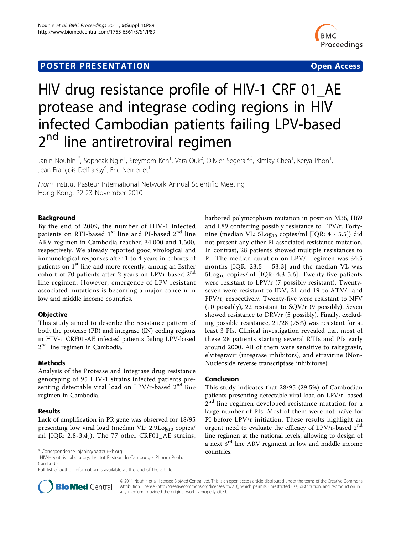## **POSTER PRESENTATION CONSUMING THE SERVICE SERVICE SERVICES**



# HIV drug resistance profile of HIV-1 CRF 01\_AE protease and integrase coding regions in HIV infected Cambodian patients failing LPV-based 2<sup>nd</sup> line antiretroviral regimen

Janin Nouhin<sup>1\*</sup>, Sopheak Ngin<sup>1</sup>, Sreymom Ken<sup>1</sup>, Vara Ouk<sup>2</sup>, Olivier Segeral<sup>2,3</sup>, Kimlay Chea<sup>1</sup>, Kerya Phon<sup>1</sup> , Jean-François Delfraissy<sup>4</sup>, Eric Nerrienet<sup>1</sup>

From Institut Pasteur International Network Annual Scientific Meeting Hong Kong. 22-23 November 2010

### Background

By the end of 2009, the number of HIV-1 infected patients on RTI-based  $1<sup>st</sup>$  line and PI-based  $2<sup>nd</sup>$  line ARV regimen in Cambodia reached 34,000 and 1,500, respectively. We already reported good virological and immunological responses after 1 to 4 years in cohorts of patients on 1<sup>st</sup> line and more recently, among an Esther cohort of 70 patients after 2 years on LPVr-based  $2<sup>nd</sup>$ line regimen. However, emergence of LPV resistant associated mutations is becoming a major concern in low and middle income countries.

#### **Objective**

This study aimed to describe the resistance pattern of both the protease (PR) and integrase (IN) coding regions in HIV-1 CRF01-AE infected patients failing LPV-based 2<sup>nd</sup> line regimen in Cambodia.

#### Methods

Analysis of the Protease and Integrase drug resistance genotyping of 95 HIV-1 strains infected patients presenting detectable viral load on LPV/r-based  $2<sup>nd</sup>$  line regimen in Cambodia.

## Results

Lack of amplification in PR gene was observed for 18/95 presenting low viral load (median VL:  $2.9$ Log<sub>10</sub> copies/ ml [IQR: 2.8-3.4]). The 77 other CRF01\_AE strains,

\* Correspondence: [njanin@pasteur-kh.org](mailto:njanin@pasteur-kh.org) countries. <sup>1</sup> HIV/Hepatitis Laboratory, Institut Pasteur du Cambodge, Phnom Penh, Cambodia

Full list of author information is available at the end of the article



harbored polymorphism mutation in position M36, H69 and L89 conferring possibly resistance to TPV/r. Fortynine (median VL: 5Log<sub>10</sub> copies/ml [IQR: 4 - 5.5]) did not present any other PI associated resistance mutation. In contrast, 28 patients showed multiple resistances to PI. The median duration on LPV/r regimen was 34.5 months [IQR: 23.5 – 53.3] and the median VL was  $5Log<sub>10</sub> copies/ml [IQR: 4.3-5.6]$ . Twenty-five patients were resistant to LPV/r (7 possibly resistant). Twentyseven were resistant to IDV, 21 and 19 to ATV/r and FPV/r, respectively. Twenty-five were resistant to NFV (10 possibly), 22 resistant to SQV/r (9 possibly). Seven showed resistance to DRV/r (5 possibly). Finally, excluding possible resistance, 21/28 (75%) was resistant for at least 3 PIs. Clinical investigation revealed that most of these 28 patients starting several RTIs and PIs early around 2000. All of them were sensitive to raltegravir, elvitegravir (integrase inhibitors), and etravirine (Non-Nucleoside reverse transcriptase inhibitorse).

#### Conclusion

This study indicates that 28/95 (29.5%) of Cambodian patients presenting detectable viral load on LPV/r–based  $2<sup>nd</sup>$  line regimen developed resistance mutation for a large number of PIs. Most of them were not naïve for PI before LPV/r initiation. These results highlight an urgent need to evaluate the efficacy of LPV/r-based  $2<sup>nd</sup>$ line regimen at the national levels, allowing to design of a next 3rd line ARV regiment in low and middle income

© 2011 Nouhin et al; licensee BioMed Central Ltd. This is an open access article distributed under the terms of the Creative Commons Attribution License [\(http://creativecommons.org/licenses/by/2.0](http://creativecommons.org/licenses/by/2.0)), which permits unrestricted use, distribution, and reproduction in any medium, provided the original work is properly cited.